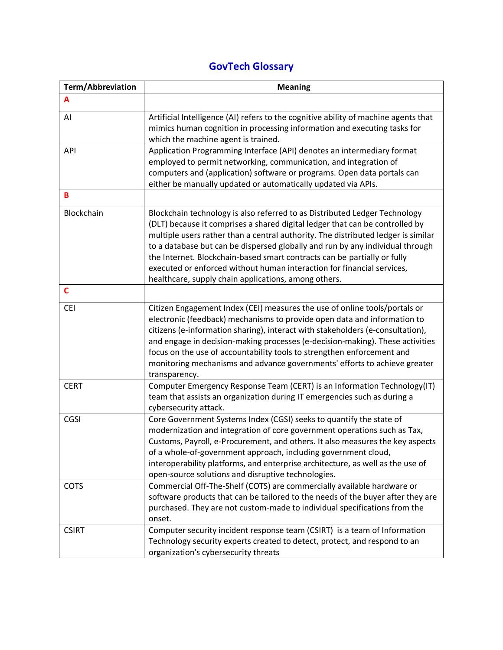## **GovTech Glossary**

| <b>Term/Abbreviation</b> | <b>Meaning</b>                                                                                                                                                                                                                                                                                                                                                                                                                                                                                                                                 |
|--------------------------|------------------------------------------------------------------------------------------------------------------------------------------------------------------------------------------------------------------------------------------------------------------------------------------------------------------------------------------------------------------------------------------------------------------------------------------------------------------------------------------------------------------------------------------------|
| A                        |                                                                                                                                                                                                                                                                                                                                                                                                                                                                                                                                                |
| AI                       | Artificial Intelligence (AI) refers to the cognitive ability of machine agents that<br>mimics human cognition in processing information and executing tasks for<br>which the machine agent is trained.                                                                                                                                                                                                                                                                                                                                         |
| <b>API</b>               | Application Programming Interface (API) denotes an intermediary format<br>employed to permit networking, communication, and integration of<br>computers and (application) software or programs. Open data portals can<br>either be manually updated or automatically updated via APIs.                                                                                                                                                                                                                                                         |
| B                        |                                                                                                                                                                                                                                                                                                                                                                                                                                                                                                                                                |
| Blockchain               | Blockchain technology is also referred to as Distributed Ledger Technology<br>(DLT) because it comprises a shared digital ledger that can be controlled by<br>multiple users rather than a central authority. The distributed ledger is similar<br>to a database but can be dispersed globally and run by any individual through<br>the Internet. Blockchain-based smart contracts can be partially or fully<br>executed or enforced without human interaction for financial services,<br>healthcare, supply chain applications, among others. |
| $\mathbf c$              |                                                                                                                                                                                                                                                                                                                                                                                                                                                                                                                                                |
| <b>CEI</b>               | Citizen Engagement Index (CEI) measures the use of online tools/portals or<br>electronic (feedback) mechanisms to provide open data and information to<br>citizens (e-information sharing), interact with stakeholders (e-consultation),<br>and engage in decision-making processes (e-decision-making). These activities<br>focus on the use of accountability tools to strengthen enforcement and<br>monitoring mechanisms and advance governments' efforts to achieve greater<br>transparency.                                              |
| <b>CERT</b>              | Computer Emergency Response Team (CERT) is an Information Technology(IT)<br>team that assists an organization during IT emergencies such as during a<br>cybersecurity attack.                                                                                                                                                                                                                                                                                                                                                                  |
| CGSI                     | Core Government Systems Index (CGSI) seeks to quantify the state of<br>modernization and integration of core government operations such as Tax,<br>Customs, Payroll, e-Procurement, and others. It also measures the key aspects<br>of a whole-of-government approach, including government cloud,<br>interoperability platforms, and enterprise architecture, as well as the use of<br>open-source solutions and disruptive technologies.                                                                                                     |
| <b>COTS</b>              | Commercial Off-The-Shelf (COTS) are commercially available hardware or<br>software products that can be tailored to the needs of the buyer after they are<br>purchased. They are not custom-made to individual specifications from the<br>onset.                                                                                                                                                                                                                                                                                               |
| <b>CSIRT</b>             | Computer security incident response team (CSIRT) is a team of Information<br>Technology security experts created to detect, protect, and respond to an<br>organization's cybersecurity threats                                                                                                                                                                                                                                                                                                                                                 |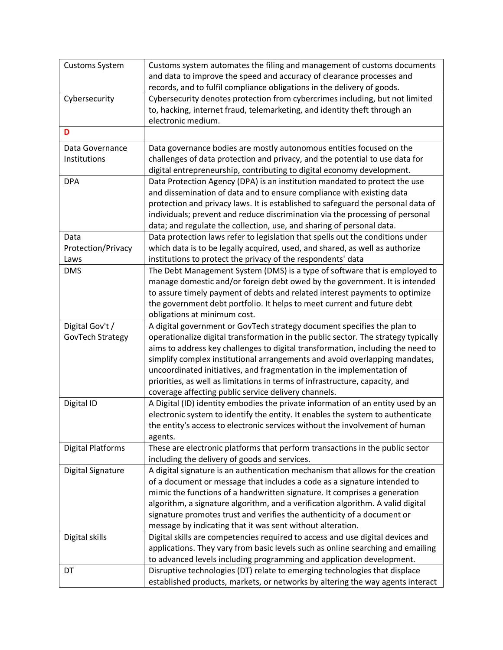| <b>Customs System</b>    | Customs system automates the filing and management of customs documents<br>and data to improve the speed and accuracy of clearance processes and      |
|--------------------------|-------------------------------------------------------------------------------------------------------------------------------------------------------|
|                          | records, and to fulfil compliance obligations in the delivery of goods.                                                                               |
| Cybersecurity            | Cybersecurity denotes protection from cybercrimes including, but not limited                                                                          |
|                          | to, hacking, internet fraud, telemarketing, and identity theft through an<br>electronic medium.                                                       |
| D                        |                                                                                                                                                       |
| Data Governance          | Data governance bodies are mostly autonomous entities focused on the                                                                                  |
| Institutions             | challenges of data protection and privacy, and the potential to use data for                                                                          |
|                          | digital entrepreneurship, contributing to digital economy development.                                                                                |
| <b>DPA</b>               | Data Protection Agency (DPA) is an institution mandated to protect the use                                                                            |
|                          | and dissemination of data and to ensure compliance with existing data                                                                                 |
|                          | protection and privacy laws. It is established to safeguard the personal data of                                                                      |
|                          | individuals; prevent and reduce discrimination via the processing of personal                                                                         |
|                          | data; and regulate the collection, use, and sharing of personal data.                                                                                 |
| Data                     | Data protection laws refer to legislation that spells out the conditions under                                                                        |
| Protection/Privacy       | which data is to be legally acquired, used, and shared, as well as authorize                                                                          |
| Laws                     | institutions to protect the privacy of the respondents' data                                                                                          |
| <b>DMS</b>               | The Debt Management System (DMS) is a type of software that is employed to                                                                            |
|                          | manage domestic and/or foreign debt owed by the government. It is intended                                                                            |
|                          | to assure timely payment of debts and related interest payments to optimize                                                                           |
|                          | the government debt portfolio. It helps to meet current and future debt                                                                               |
|                          | obligations at minimum cost.                                                                                                                          |
| Digital Gov't /          | A digital government or GovTech strategy document specifies the plan to                                                                               |
| GovTech Strategy         | operationalize digital transformation in the public sector. The strategy typically                                                                    |
|                          | aims to address key challenges to digital transformation, including the need to                                                                       |
|                          | simplify complex institutional arrangements and avoid overlapping mandates,                                                                           |
|                          | uncoordinated initiatives, and fragmentation in the implementation of<br>priorities, as well as limitations in terms of infrastructure, capacity, and |
|                          | coverage affecting public service delivery channels.                                                                                                  |
| Digital ID               | A Digital (ID) identity embodies the private information of an entity used by an                                                                      |
|                          | electronic system to identify the entity. It enables the system to authenticate                                                                       |
|                          | the entity's access to electronic services without the involvement of human                                                                           |
|                          | agents.                                                                                                                                               |
| <b>Digital Platforms</b> | These are electronic platforms that perform transactions in the public sector                                                                         |
|                          | including the delivery of goods and services.                                                                                                         |
| Digital Signature        | A digital signature is an authentication mechanism that allows for the creation                                                                       |
|                          | of a document or message that includes a code as a signature intended to                                                                              |
|                          | mimic the functions of a handwritten signature. It comprises a generation                                                                             |
|                          | algorithm, a signature algorithm, and a verification algorithm. A valid digital                                                                       |
|                          | signature promotes trust and verifies the authenticity of a document or                                                                               |
|                          | message by indicating that it was sent without alteration.                                                                                            |
| Digital skills           | Digital skills are competencies required to access and use digital devices and                                                                        |
|                          | applications. They vary from basic levels such as online searching and emailing                                                                       |
|                          | to advanced levels including programming and application development.                                                                                 |
| DT                       | Disruptive technologies (DT) relate to emerging technologies that displace                                                                            |
|                          | established products, markets, or networks by altering the way agents interact                                                                        |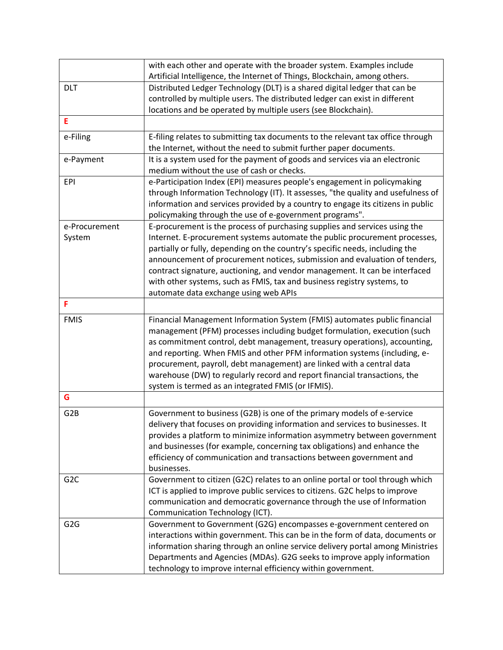|                  | with each other and operate with the broader system. Examples include              |
|------------------|------------------------------------------------------------------------------------|
|                  | Artificial Intelligence, the Internet of Things, Blockchain, among others.         |
| <b>DLT</b>       | Distributed Ledger Technology (DLT) is a shared digital ledger that can be         |
|                  | controlled by multiple users. The distributed ledger can exist in different        |
|                  | locations and be operated by multiple users (see Blockchain).                      |
| E                |                                                                                    |
| e-Filing         | E-filing relates to submitting tax documents to the relevant tax office through    |
|                  | the Internet, without the need to submit further paper documents.                  |
| e-Payment        | It is a system used for the payment of goods and services via an electronic        |
|                  | medium without the use of cash or checks.                                          |
| <b>EPI</b>       | e-Participation Index (EPI) measures people's engagement in policymaking           |
|                  | through Information Technology (IT). It assesses, "the quality and usefulness of   |
|                  | information and services provided by a country to engage its citizens in public    |
|                  | policymaking through the use of e-government programs".                            |
| e-Procurement    | E-procurement is the process of purchasing supplies and services using the         |
| System           | Internet. E-procurement systems automate the public procurement processes,         |
|                  | partially or fully, depending on the country's specific needs, including the       |
|                  | announcement of procurement notices, submission and evaluation of tenders,         |
|                  | contract signature, auctioning, and vendor management. It can be interfaced        |
|                  | with other systems, such as FMIS, tax and business registry systems, to            |
|                  | automate data exchange using web APIs                                              |
| F                |                                                                                    |
| <b>FMIS</b>      | Financial Management Information System (FMIS) automates public financial          |
|                  | management (PFM) processes including budget formulation, execution (such           |
|                  | as commitment control, debt management, treasury operations), accounting,          |
|                  | and reporting. When FMIS and other PFM information systems (including, e-          |
|                  | procurement, payroll, debt management) are linked with a central data              |
|                  | warehouse (DW) to regularly record and report financial transactions, the          |
| G                | system is termed as an integrated FMIS (or IFMIS).                                 |
|                  |                                                                                    |
| G <sub>2</sub> B | Government to business (G2B) is one of the primary models of e-service             |
|                  | delivery that focuses on providing information and services to businesses. It      |
|                  | provides a platform to minimize information asymmetry between government           |
|                  | and businesses (for example, concerning tax obligations) and enhance the           |
|                  | efficiency of communication and transactions between government and<br>businesses. |
| G <sub>2</sub> C | Government to citizen (G2C) relates to an online portal or tool through which      |
|                  | ICT is applied to improve public services to citizens. G2C helps to improve        |
|                  | communication and democratic governance through the use of Information             |
|                  | Communication Technology (ICT).                                                    |
| G <sub>2</sub> G | Government to Government (G2G) encompasses e-government centered on                |
|                  | interactions within government. This can be in the form of data, documents or      |
|                  | information sharing through an online service delivery portal among Ministries     |
|                  | Departments and Agencies (MDAs). G2G seeks to improve apply information            |
|                  | technology to improve internal efficiency within government.                       |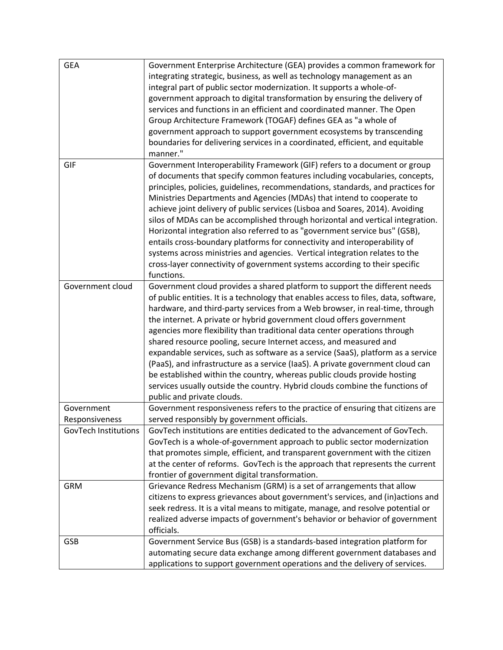| <b>GEA</b>                   | Government Enterprise Architecture (GEA) provides a common framework for<br>integrating strategic, business, as well as technology management as an<br>integral part of public sector modernization. It supports a whole-of-<br>government approach to digital transformation by ensuring the delivery of<br>services and functions in an efficient and coordinated manner. The Open<br>Group Architecture Framework (TOGAF) defines GEA as "a whole of<br>government approach to support government ecosystems by transcending<br>boundaries for delivering services in a coordinated, efficient, and equitable<br>manner."                                                                                                                                                                                                                 |
|------------------------------|----------------------------------------------------------------------------------------------------------------------------------------------------------------------------------------------------------------------------------------------------------------------------------------------------------------------------------------------------------------------------------------------------------------------------------------------------------------------------------------------------------------------------------------------------------------------------------------------------------------------------------------------------------------------------------------------------------------------------------------------------------------------------------------------------------------------------------------------|
| GIF                          | Government Interoperability Framework (GIF) refers to a document or group<br>of documents that specify common features including vocabularies, concepts,<br>principles, policies, guidelines, recommendations, standards, and practices for<br>Ministries Departments and Agencies (MDAs) that intend to cooperate to<br>achieve joint delivery of public services (Lisboa and Soares, 2014). Avoiding<br>silos of MDAs can be accomplished through horizontal and vertical integration.<br>Horizontal integration also referred to as "government service bus" (GSB),<br>entails cross-boundary platforms for connectivity and interoperability of<br>systems across ministries and agencies. Vertical integration relates to the<br>cross-layer connectivity of government systems according to their specific<br>functions.               |
| Government cloud             | Government cloud provides a shared platform to support the different needs<br>of public entities. It is a technology that enables access to files, data, software,<br>hardware, and third-party services from a Web browser, in real-time, through<br>the internet. A private or hybrid government cloud offers government<br>agencies more flexibility than traditional data center operations through<br>shared resource pooling, secure Internet access, and measured and<br>expandable services, such as software as a service (SaaS), platform as a service<br>(PaaS), and infrastructure as a service (IaaS). A private government cloud can<br>be established within the country, whereas public clouds provide hosting<br>services usually outside the country. Hybrid clouds combine the functions of<br>public and private clouds. |
| Government<br>Responsiveness | Government responsiveness refers to the practice of ensuring that citizens are<br>served responsibly by government officials.                                                                                                                                                                                                                                                                                                                                                                                                                                                                                                                                                                                                                                                                                                                |
| <b>GovTech Institutions</b>  | GovTech institutions are entities dedicated to the advancement of GovTech.<br>GovTech is a whole-of-government approach to public sector modernization<br>that promotes simple, efficient, and transparent government with the citizen<br>at the center of reforms. GovTech is the approach that represents the current<br>frontier of government digital transformation.                                                                                                                                                                                                                                                                                                                                                                                                                                                                    |
| <b>GRM</b>                   | Grievance Redress Mechanism (GRM) is a set of arrangements that allow<br>citizens to express grievances about government's services, and (in)actions and<br>seek redress. It is a vital means to mitigate, manage, and resolve potential or<br>realized adverse impacts of government's behavior or behavior of government<br>officials.                                                                                                                                                                                                                                                                                                                                                                                                                                                                                                     |
| GSB                          | Government Service Bus (GSB) is a standards-based integration platform for<br>automating secure data exchange among different government databases and<br>applications to support government operations and the delivery of services.                                                                                                                                                                                                                                                                                                                                                                                                                                                                                                                                                                                                        |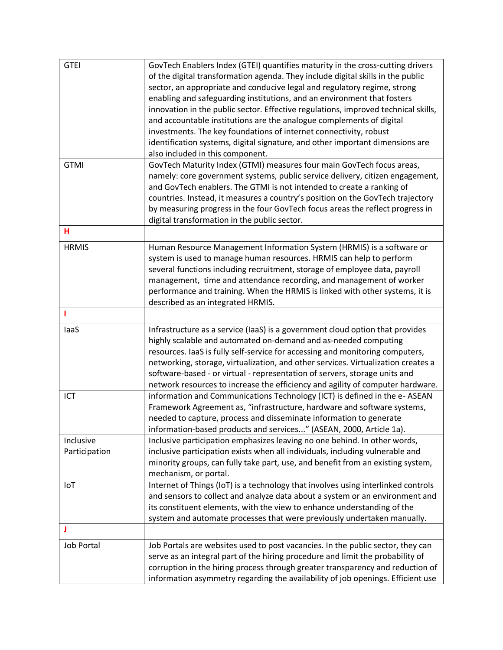| <b>GTEI</b>       | GovTech Enablers Index (GTEI) quantifies maturity in the cross-cutting drivers     |
|-------------------|------------------------------------------------------------------------------------|
|                   | of the digital transformation agenda. They include digital skills in the public    |
|                   | sector, an appropriate and conducive legal and regulatory regime, strong           |
|                   | enabling and safeguarding institutions, and an environment that fosters            |
|                   | innovation in the public sector. Effective regulations, improved technical skills, |
|                   | and accountable institutions are the analogue complements of digital               |
|                   | investments. The key foundations of internet connectivity, robust                  |
|                   | identification systems, digital signature, and other important dimensions are      |
|                   | also included in this component.                                                   |
| <b>GTMI</b>       | GovTech Maturity Index (GTMI) measures four main GovTech focus areas,              |
|                   |                                                                                    |
|                   | namely: core government systems, public service delivery, citizen engagement,      |
|                   | and GovTech enablers. The GTMI is not intended to create a ranking of              |
|                   | countries. Instead, it measures a country's position on the GovTech trajectory     |
|                   | by measuring progress in the four GovTech focus areas the reflect progress in      |
|                   | digital transformation in the public sector.                                       |
| н                 |                                                                                    |
| <b>HRMIS</b>      | Human Resource Management Information System (HRMIS) is a software or              |
|                   | system is used to manage human resources. HRMIS can help to perform                |
|                   | several functions including recruitment, storage of employee data, payroll         |
|                   | management, time and attendance recording, and management of worker                |
|                   | performance and training. When the HRMIS is linked with other systems, it is       |
|                   | described as an integrated HRMIS.                                                  |
|                   |                                                                                    |
| laaS              | Infrastructure as a service (IaaS) is a government cloud option that provides      |
|                   | highly scalable and automated on-demand and as-needed computing                    |
|                   | resources. IaaS is fully self-service for accessing and monitoring computers,      |
|                   | networking, storage, virtualization, and other services. Virtualization creates a  |
|                   | software-based - or virtual - representation of servers, storage units and         |
|                   | network resources to increase the efficiency and agility of computer hardware.     |
| ICT               | information and Communications Technology (ICT) is defined in the e- ASEAN         |
|                   | Framework Agreement as, "infrastructure, hardware and software systems,            |
|                   | needed to capture, process and disseminate information to generate                 |
|                   | information-based products and services" (ASEAN, 2000, Article 1a).                |
| Inclusive         | Inclusive participation emphasizes leaving no one behind. In other words,          |
| Participation     | inclusive participation exists when all individuals, including vulnerable and      |
|                   | minority groups, can fully take part, use, and benefit from an existing system,    |
|                   | mechanism, or portal.                                                              |
| IoT               | Internet of Things (IoT) is a technology that involves using interlinked controls  |
|                   | and sensors to collect and analyze data about a system or an environment and       |
|                   | its constituent elements, with the view to enhance understanding of the            |
|                   | system and automate processes that were previously undertaken manually.            |
| J                 |                                                                                    |
|                   |                                                                                    |
| <b>Job Portal</b> | Job Portals are websites used to post vacancies. In the public sector, they can    |
|                   | serve as an integral part of the hiring procedure and limit the probability of     |
|                   | corruption in the hiring process through greater transparency and reduction of     |
|                   | information asymmetry regarding the availability of job openings. Efficient use    |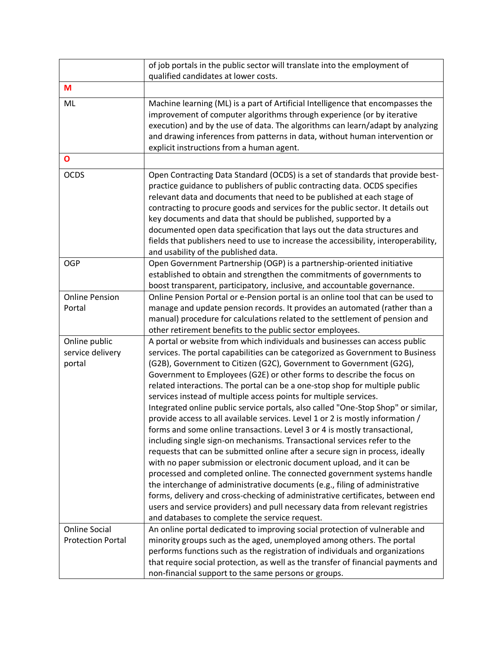|                                                  | of job portals in the public sector will translate into the employment of<br>qualified candidates at lower costs.                                                                                                                                                                                                                                                                                                                                                                                                                                                                                                                                                                                                                                                                                                                                                                                                                                                                                                                                                                                                                                                                                                                                                                                                                          |
|--------------------------------------------------|--------------------------------------------------------------------------------------------------------------------------------------------------------------------------------------------------------------------------------------------------------------------------------------------------------------------------------------------------------------------------------------------------------------------------------------------------------------------------------------------------------------------------------------------------------------------------------------------------------------------------------------------------------------------------------------------------------------------------------------------------------------------------------------------------------------------------------------------------------------------------------------------------------------------------------------------------------------------------------------------------------------------------------------------------------------------------------------------------------------------------------------------------------------------------------------------------------------------------------------------------------------------------------------------------------------------------------------------|
| M                                                |                                                                                                                                                                                                                                                                                                                                                                                                                                                                                                                                                                                                                                                                                                                                                                                                                                                                                                                                                                                                                                                                                                                                                                                                                                                                                                                                            |
| ML                                               | Machine learning (ML) is a part of Artificial Intelligence that encompasses the<br>improvement of computer algorithms through experience (or by iterative<br>execution) and by the use of data. The algorithms can learn/adapt by analyzing<br>and drawing inferences from patterns in data, without human intervention or<br>explicit instructions from a human agent.                                                                                                                                                                                                                                                                                                                                                                                                                                                                                                                                                                                                                                                                                                                                                                                                                                                                                                                                                                    |
| $\mathbf{o}$                                     |                                                                                                                                                                                                                                                                                                                                                                                                                                                                                                                                                                                                                                                                                                                                                                                                                                                                                                                                                                                                                                                                                                                                                                                                                                                                                                                                            |
| <b>OCDS</b>                                      | Open Contracting Data Standard (OCDS) is a set of standards that provide best-<br>practice guidance to publishers of public contracting data. OCDS specifies<br>relevant data and documents that need to be published at each stage of<br>contracting to procure goods and services for the public sector. It details out<br>key documents and data that should be published, supported by a<br>documented open data specification that lays out the data structures and<br>fields that publishers need to use to increase the accessibility, interoperability,<br>and usability of the published data.                                                                                                                                                                                                                                                                                                                                                                                                                                                                                                                                                                                                                                                                                                                                    |
| <b>OGP</b>                                       | Open Government Partnership (OGP) is a partnership-oriented initiative<br>established to obtain and strengthen the commitments of governments to<br>boost transparent, participatory, inclusive, and accountable governance.                                                                                                                                                                                                                                                                                                                                                                                                                                                                                                                                                                                                                                                                                                                                                                                                                                                                                                                                                                                                                                                                                                               |
| <b>Online Pension</b><br>Portal                  | Online Pension Portal or e-Pension portal is an online tool that can be used to<br>manage and update pension records. It provides an automated (rather than a<br>manual) procedure for calculations related to the settlement of pension and<br>other retirement benefits to the public sector employees.                                                                                                                                                                                                                                                                                                                                                                                                                                                                                                                                                                                                                                                                                                                                                                                                                                                                                                                                                                                                                                  |
| Online public<br>service delivery<br>portal      | A portal or website from which individuals and businesses can access public<br>services. The portal capabilities can be categorized as Government to Business<br>(G2B), Government to Citizen (G2C), Government to Government (G2G),<br>Government to Employees (G2E) or other forms to describe the focus on<br>related interactions. The portal can be a one-stop shop for multiple public<br>services instead of multiple access points for multiple services.<br>Integrated online public service portals, also called "One-Stop Shop" or similar,<br>provide access to all available services. Level 1 or 2 is mostly information /<br>forms and some online transactions. Level 3 or 4 is mostly transactional,<br>including single sign-on mechanisms. Transactional services refer to the<br>requests that can be submitted online after a secure sign in process, ideally<br>with no paper submission or electronic document upload, and it can be<br>processed and completed online. The connected government systems handle<br>the interchange of administrative documents (e.g., filing of administrative<br>forms, delivery and cross-checking of administrative certificates, between end<br>users and service providers) and pull necessary data from relevant registries<br>and databases to complete the service request. |
| <b>Online Social</b><br><b>Protection Portal</b> | An online portal dedicated to improving social protection of vulnerable and<br>minority groups such as the aged, unemployed among others. The portal<br>performs functions such as the registration of individuals and organizations<br>that require social protection, as well as the transfer of financial payments and<br>non-financial support to the same persons or groups.                                                                                                                                                                                                                                                                                                                                                                                                                                                                                                                                                                                                                                                                                                                                                                                                                                                                                                                                                          |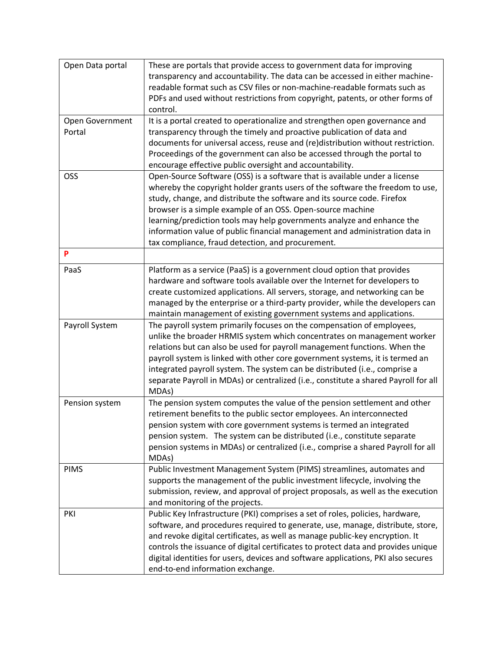| Open Data portal | These are portals that provide access to government data for improving              |
|------------------|-------------------------------------------------------------------------------------|
|                  | transparency and accountability. The data can be accessed in either machine-        |
|                  | readable format such as CSV files or non-machine-readable formats such as           |
|                  | PDFs and used without restrictions from copyright, patents, or other forms of       |
|                  | control.                                                                            |
| Open Government  | It is a portal created to operationalize and strengthen open governance and         |
| Portal           | transparency through the timely and proactive publication of data and               |
|                  | documents for universal access, reuse and (re)distribution without restriction.     |
|                  | Proceedings of the government can also be accessed through the portal to            |
|                  | encourage effective public oversight and accountability.                            |
| OSS              | Open-Source Software (OSS) is a software that is available under a license          |
|                  | whereby the copyright holder grants users of the software the freedom to use,       |
|                  | study, change, and distribute the software and its source code. Firefox             |
|                  | browser is a simple example of an OSS. Open-source machine                          |
|                  | learning/prediction tools may help governments analyze and enhance the              |
|                  |                                                                                     |
|                  | information value of public financial management and administration data in         |
|                  | tax compliance, fraud detection, and procurement.                                   |
| P                |                                                                                     |
| PaaS             | Platform as a service (PaaS) is a government cloud option that provides             |
|                  | hardware and software tools available over the Internet for developers to           |
|                  | create customized applications. All servers, storage, and networking can be         |
|                  | managed by the enterprise or a third-party provider, while the developers can       |
|                  | maintain management of existing government systems and applications.                |
| Payroll System   | The payroll system primarily focuses on the compensation of employees,              |
|                  | unlike the broader HRMIS system which concentrates on management worker             |
|                  | relations but can also be used for payroll management functions. When the           |
|                  | payroll system is linked with other core government systems, it is termed an        |
|                  | integrated payroll system. The system can be distributed (i.e., comprise a          |
|                  | separate Payroll in MDAs) or centralized (i.e., constitute a shared Payroll for all |
|                  | MDAs)                                                                               |
| Pension system   | The pension system computes the value of the pension settlement and other           |
|                  | retirement benefits to the public sector employees. An interconnected               |
|                  | pension system with core government systems is termed an integrated                 |
|                  | pension system. The system can be distributed (i.e., constitute separate            |
|                  | pension systems in MDAs) or centralized (i.e., comprise a shared Payroll for all    |
|                  | MDAs)                                                                               |
| <b>PIMS</b>      | Public Investment Management System (PIMS) streamlines, automates and               |
|                  | supports the management of the public investment lifecycle, involving the           |
|                  | submission, review, and approval of project proposals, as well as the execution     |
|                  | and monitoring of the projects.                                                     |
| PKI              | Public Key Infrastructure (PKI) comprises a set of roles, policies, hardware,       |
|                  | software, and procedures required to generate, use, manage, distribute, store,      |
|                  | and revoke digital certificates, as well as manage public-key encryption. It        |
|                  |                                                                                     |
|                  | controls the issuance of digital certificates to protect data and provides unique   |
|                  | digital identities for users, devices and software applications, PKI also secures   |
|                  | end-to-end information exchange.                                                    |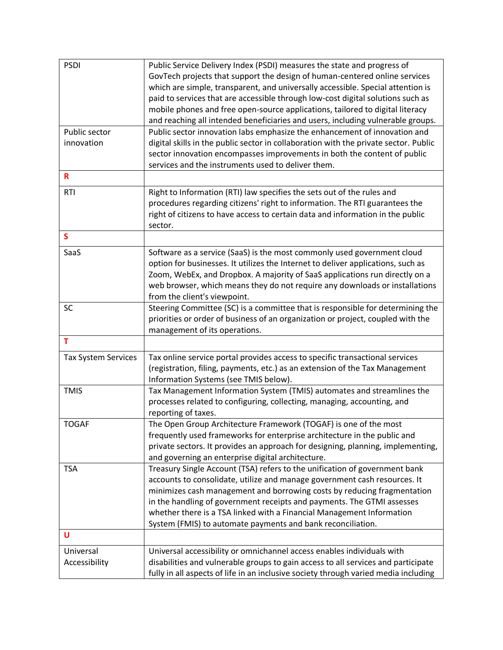| <b>PSDI</b>                | Public Service Delivery Index (PSDI) measures the state and progress of              |
|----------------------------|--------------------------------------------------------------------------------------|
|                            | GovTech projects that support the design of human-centered online services           |
|                            | which are simple, transparent, and universally accessible. Special attention is      |
|                            | paid to services that are accessible through low-cost digital solutions such as      |
|                            |                                                                                      |
|                            | mobile phones and free open-source applications, tailored to digital literacy        |
|                            | and reaching all intended beneficiaries and users, including vulnerable groups.      |
| Public sector              | Public sector innovation labs emphasize the enhancement of innovation and            |
| innovation                 | digital skills in the public sector in collaboration with the private sector. Public |
|                            | sector innovation encompasses improvements in both the content of public             |
|                            | services and the instruments used to deliver them.                                   |
| $\mathbf R$                |                                                                                      |
| <b>RTI</b>                 | Right to Information (RTI) law specifies the sets out of the rules and               |
|                            | procedures regarding citizens' right to information. The RTI guarantees the          |
|                            | right of citizens to have access to certain data and information in the public       |
|                            | sector.                                                                              |
| $\mathsf{s}$               |                                                                                      |
|                            |                                                                                      |
| SaaS                       | Software as a service (SaaS) is the most commonly used government cloud              |
|                            | option for businesses. It utilizes the Internet to deliver applications, such as     |
|                            | Zoom, WebEx, and Dropbox. A majority of SaaS applications run directly on a          |
|                            | web browser, which means they do not require any downloads or installations          |
|                            | from the client's viewpoint.                                                         |
| <b>SC</b>                  | Steering Committee (SC) is a committee that is responsible for determining the       |
|                            | priorities or order of business of an organization or project, coupled with the      |
|                            | management of its operations.                                                        |
| T                          |                                                                                      |
| <b>Tax System Services</b> | Tax online service portal provides access to specific transactional services         |
|                            | (registration, filing, payments, etc.) as an extension of the Tax Management         |
|                            |                                                                                      |
|                            | Information Systems (see TMIS below).                                                |
| <b>TMIS</b>                | Tax Management Information System (TMIS) automates and streamlines the               |
|                            | processes related to configuring, collecting, managing, accounting, and              |
|                            | reporting of taxes.                                                                  |
| <b>TOGAF</b>               | The Open Group Architecture Framework (TOGAF) is one of the most                     |
|                            | frequently used frameworks for enterprise architecture in the public and             |
|                            | private sectors. It provides an approach for designing, planning, implementing,      |
|                            | and governing an enterprise digital architecture.                                    |
| <b>TSA</b>                 | Treasury Single Account (TSA) refers to the unification of government bank           |
|                            | accounts to consolidate, utilize and manage government cash resources. It            |
|                            | minimizes cash management and borrowing costs by reducing fragmentation              |
|                            | in the handling of government receipts and payments. The GTMI assesses               |
|                            | whether there is a TSA linked with a Financial Management Information                |
|                            |                                                                                      |
| U                          | System (FMIS) to automate payments and bank reconciliation.                          |
|                            |                                                                                      |
| Universal                  | Universal accessibility or omnichannel access enables individuals with               |
| Accessibility              | disabilities and vulnerable groups to gain access to all services and participate    |
|                            | fully in all aspects of life in an inclusive society through varied media including  |